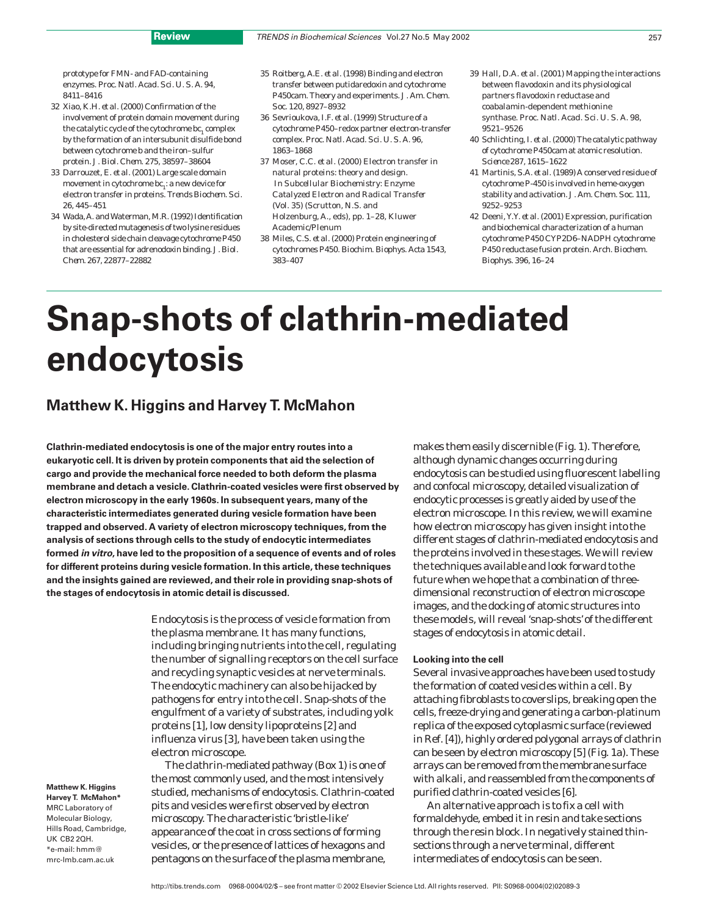prototype for FMN- and FAD-containing enzymes. *Proc. Natl. Acad. Sci. U. S. A.* 94, 8411–8416

- 32 Xiao, K.H. *et al.* (2000) Confirmation of the involvement of protein domain movement during the catalytic cycle of the cytochrome *bc*, complex by the formation of an intersubunit disulfide bond between cytochrome *b* and the iron–sulfur protein. *J. Biol. Chem.* 275, 38597–38604
- 33 Darrouzet, E. *et al.* (2001) Large scale domain movement in cytochrome  $bc_1$ : a new device for electron transfer in proteins. *Trends Biochem. Sci.* 26, 445–451
- 34 Wada, A. and Waterman, M.R. (1992) Identification by site-directed mutagenesis of two lysine residues in cholesterol side chain cleavage cytochrome P450 that are essential for adrenodoxin binding. *J. Biol. Chem.* 267, 22877–22882
- 35 Roitberg, A.E. *et al.* (1998) Binding and electron transfer between putidaredoxin and cytochrome P450cam. Theory and experiments. *J. Am. Chem. Soc.* 120, 8927–8932
- 36 Sevrioukova, I.F. *et al.* (1999) Structure of a cytochrome P450–redox partner electron-transfer complex. *Proc. Natl. Acad. Sci. U. S. A.* 96, 1863–1868
- 37 Moser, C.C. *et al.* (2000) Electron transfer in natural proteins: theory and design. In *Subcellular Biochemistry: Enzyme Catalyzed Electron and Radical Transfer*  (Vol. 35) (Scrutton, N.S. and Holzenburg, A., eds), pp. 1–28, Kluwer Academic/Plenum
- 38 Miles, C.S. *et al.* (2000) Protein engineering of cytochromes P450. *Biochim. Biophys. Acta* 1543, 383–407
- 39 Hall, D.A. *et al.* (2001) Mapping the interactions between flavodoxin and its physiological partners flavodoxin reductase and coabalamin-dependent methionine synthase. *Proc. Natl. Acad. Sci. U. S. A.* 98, 9521–9526
- 40 Schlichting, I. *et al.* (2000) The catalytic pathway of cytochrome P450cam at atomic resolution. *Science* 287, 1615–1622
- 41 Martinis, S.A. *et al.* (1989) A conserved residue of cytochrome P-450 is involved in heme-oxygen stability and activation. *J. Am. Chem. Soc.* 111, 9252–9253
- 42 Deeni, Y.Y. *et al.* (2001) Expression, purification and biochemical characterization of a human cytochrome P450 CYP2D6–NADPH cytochrome P450 reductase fusion protein. *Arch. Biochem. Biophys.* 396, 16–24

# **Snap-shots of clathrin-mediated endocytosis**

# **Matthew K. Higgins and Harvey T. McMahon**

**Clathrin-mediated endocytosis is one of the major entry routes into a eukaryotic cell. It is driven by protein components that aid the selection of cargo and provide the mechanical force needed to both deform the plasma membrane and detach a vesicle. Clathrin-coated vesicles were first observed by electron microscopy in the early 1960s. In subsequent years, many of the characteristic intermediates generated during vesicle formation have been trapped and observed. A variety of electron microscopy techniques, from the analysis of sections through cells to the study of endocytic intermediates formed in vitro, have led to the proposition of a sequence of events and of roles for different proteins during vesicle formation. In this article, these techniques and the insights gained are reviewed, and their role in providing snap-shots of the stages of endocytosis in atomic detail is discussed.**

> Endocytosis is the process of vesicle formation from the plasma membrane. It has many functions, including bringing nutrients into the cell, regulating the number of signalling receptors on the cell surface and recycling synaptic vesicles at nerve terminals. The endocytic machinery can also be hijacked by pathogens for entry into the cell. Snap-shots of the engulfment of a variety of substrates, including yolk proteins [1], low density lipoproteins [2] and influenza virus [3], have been taken using the electron microscope.

**Matthew K. Higgins Harvey T. McMahon\*** MRC Laboratory of Molecular Biology, Hills Road, Cambridge, UK CB2 2QH.  $*$ e-mail: hmm $@$ mrc-lmb.cam.ac.uk

The clathrin-mediated pathway (Box 1) is one of the most commonly used, and the most intensively studied, mechanisms of endocytosis. Clathrin-coated pits and vesicles were first observed by electron microscopy. The characteristic 'bristle-like' appearance of the coat in cross sections of forming vesicles, or the presence of lattices of hexagons and pentagons on the surface of the plasma membrane,

makes them easily discernible (Fig. 1). Therefore, although dynamic changes occurring during endocytosis can be studied using fluorescent labelling and confocal microscopy, detailed visualization of endocytic processes is greatly aided by use of the electron microscope. In this review, we will examine how electron microscopy has given insight into the different stages of clathrin-mediated endocytosis and the proteins involved in these stages. We will review the techniques available and look forward to the future when we hope that a combination of threedimensional reconstruction of electron microscope images, and the docking of atomic structures into these models, will reveal 'snap-shots'of the different stages of endocytosis in atomic detail.

# **Looking into the cell**

Several invasive approaches have been used to study the formation of coated vesicles within a cell. By attaching fibroblasts to coverslips, breaking open the cells, freeze-drying and generating a carbon-platinum replica of the exposed cytoplasmic surface (reviewed in Ref. [4]), highly ordered polygonal arrays of clathrin can be seen by electron microscopy [5] (Fig. 1a). These arrays can be removed from the membrane surface with alkali, and reassembled from the components of purified clathrin-coated vesicles [6].

An alternative approach is to fix a cell with formaldehyde, embed it in resin and take sections through the resin block. In negatively stained thinsections through a nerve terminal, different intermediates of endocytosis can be seen.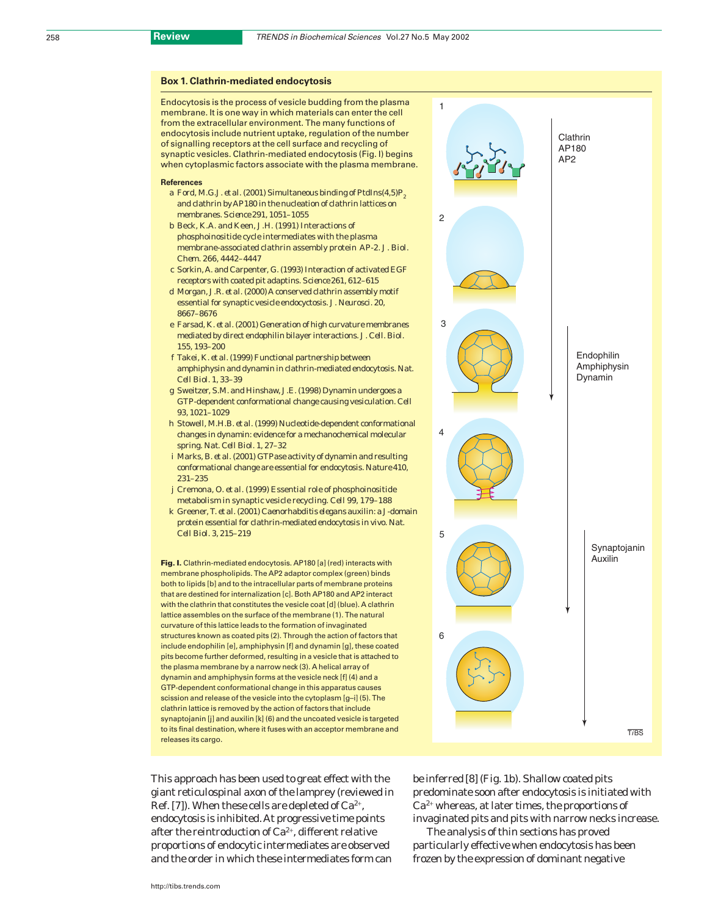## **Box 1. Clathrin-mediated endocytosis**

Endocytosis is the process of vesicle budding from the plasma membrane. It is one way in which materials can enter the cell from the extracellular environment. The many functions of endocytosis include nutrient uptake, regulation of the number of signalling receptors at the cell surface and recycling of synaptic vesicles. Clathrin-mediated endocytosis (Fig. I) begins when cytoplasmic factors associate with the plasma membrane.

#### **References**

- a Ford, M.G.J. *et al.* (2001) Simultaneous binding of PtdIns $(4.5)P_8$ and clathrin by AP180 in the nucleation of clathrin lattices on membranes. *Science* 291, 1051–1055
- b Beck, K.A. and Keen, J.H. (1991) Interactions of phosphoinositide cycle intermediates with the plasma membrane-associated clathrin assembly protein AP-2. *J. Biol. Chem.* 266, 4442–4447
- c Sorkin, A. and Carpenter, G. (1993) Interaction of activated EGF receptors with coated pit adaptins. *Science* 261, 612–615
- d Morgan, J.R. *et al*. (2000) A conserved clathrin assembly motif essential for synaptic vesicle endocyctosis. *J. Neurosci.* 20, 8667–8676
- e Farsad, K. *et al*. (2001) Generation of high curvature membranes mediated by direct endophilin bilayer interactions. *J. Cell. Biol.* 155, 193–200
- f Takei, K. *et al*. (1999) Functional partnership between amphiphysin and dynamin in clathrin-mediated endocytosis. *Nat. Cell Biol.* 1, 33–39
- g Sweitzer, S.M. and Hinshaw, J.E. (1998) Dynamin undergoes a GTP-dependent conformational change causing vesiculation. *Cell* 93, 1021–1029
- h Stowell, M.H.B. *et al*. (1999) Nucleotide-dependent conformational changes in dynamin: evidence for a mechanochemical molecular spring. *Nat. Cell Biol.* 1, 27–32
- i Marks, B. *et al*. (2001) GTPase activity of dynamin and resulting conformational change are essential for endocytosis. *Nature* 410, 231–235
- j Cremona, O. *et al.* (1999) Essential role of phosphoinositide metabolism in synaptic vesicle recycling. *Cell* 99, 179–188
- k Greener, T. *et al.* (2001) *Caenorhabditis elegans* auxilin: a J-domain protein essential for clathrin-mediated endocytosis *in vivo*. *Nat. Cell Biol.* 3, 215–219

**Fig. I.** Clathrin-mediated endocytosis. AP180 [a] (red) interacts with membrane phospholipids. The AP2 adaptor complex (green) binds both to lipids [b] and to the intracellular parts of membrane proteins that are destined for internalization [c]. Both AP180 and AP2 interact with the clathrin that constitutes the vesicle coat [d] (blue). A clathrin lattice assembles on the surface of the membrane (1). The natural curvature of this lattice leads to the formation of invaginated structures known as coated pits (2). Through the action of factors that include endophilin [e], amphiphysin [f] and dynamin [g], these coated pits become further deformed, resulting in a vesicle that is attached to the plasma membrane by a narrow neck (3). A helical array of dynamin and amphiphysin forms at the vesicle neck [f] (4) and a GTP-dependent conformational change in this apparatus causes scission and release of the vesicle into the cytoplasm [g–i] (5). The clathrin lattice is removed by the action of factors that include synaptojanin [j] and auxilin [k] (6) and the uncoated vesicle is targeted to its final destination, where it fuses with an acceptor membrane and releases its cargo.

This approach has been used to great effect with the giant reticulospinal axon of the lamprey (reviewed in Ref. [7]). When these cells are depleted of  $Ca^{2+}$ , endocytosis is inhibited. At progressive time points after the reintroduction of Ca2<sup>+</sup>, different relative proportions of endocytic intermediates are observed and the order in which these intermediates form can



be inferred [8] (Fig. 1b). Shallow coated pits predominate soon after endocytosis is initiated with Ca2<sup>+</sup> whereas, at later times, the proportions of invaginated pits and pits with narrow necks increase.

The analysis of thin sections has proved particularly effective when endocytosis has been frozen by the expression of dominant negative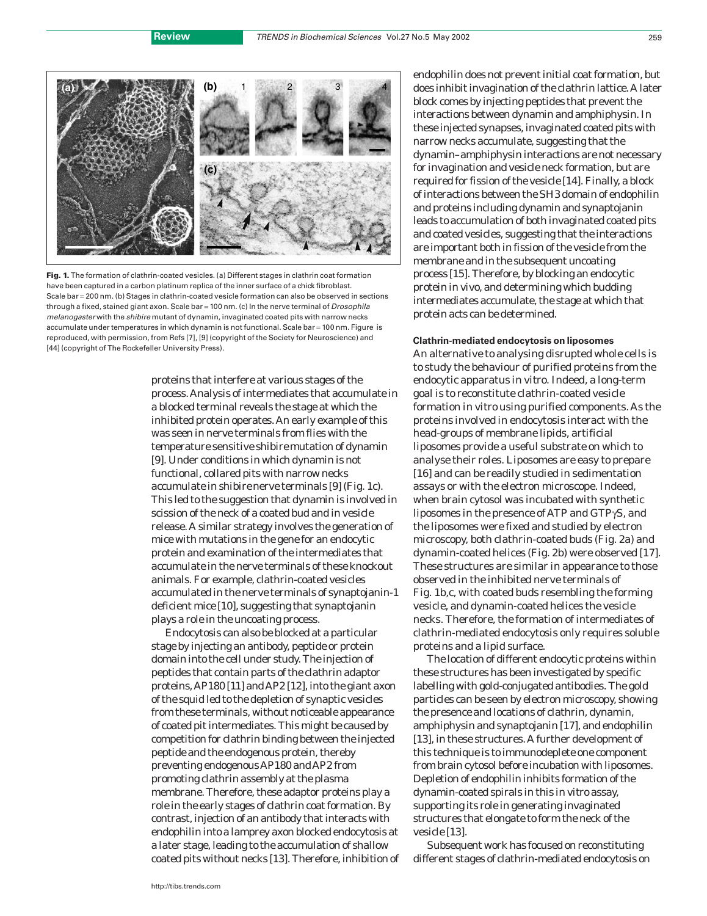

**Fig. 1.** The formation of clathrin-coated vesicles. (a) Different stages in clathrin coat formation have been captured in a carbon platinum replica of the inner surface of a chick fibroblast. Scale bar = 200 nm. (b) Stages in clathrin-coated vesicle formation can also be observed in sections through a fixed, stained giant axon. Scale bar = 100 nm. (c) In the nerve terminal of *Drosophila* melanogaster with the shibire mutant of dynamin, invaginated coated pits with narrow necks accumulate under temperatures in which dynamin is not functional. Scale bar = 100 nm. Figure is reproduced, with permission, from Refs [7], [9] (copyright of the Society for Neuroscience) and [44] (copyright of The Rockefeller University Press).

proteins that interfere at various stages of the process. Analysis of intermediates that accumulate in a blocked terminal reveals the stage at which the inhibited protein operates. An early example of this was seen in nerve terminals from flies with the temperature sensitive *shibire* mutation of dynamin [9]. Under conditions in which dynamin is not functional, collared pits with narrow necks accumulate in *shibire* nerve terminals [9] (Fig. 1c). This led to the suggestion that dynamin is involved in scission of the neck of a coated bud and in vesicle release. A similar strategy involves the generation of mice with mutations in the gene for an endocytic protein and examination of the intermediates that accumulate in the nerve terminals of these knockout animals. For example, clathrin-coated vesicles accumulated in the nerve terminals of synaptojanin-1 deficient mice [10], suggesting that synaptojanin plays a role in the uncoating process.

Endocytosis can also be blocked at a particular stage by injecting an antibody, peptide or protein domain into the cell under study. The injection of peptides that contain parts of the clathrin adaptor proteins, AP180 [11] and AP2 [12], into the giant axon of the squid led to the depletion of synaptic vesicles from these terminals, without noticeable appearance of coated pit intermediates. This might be caused by competition for clathrin binding between the injected peptide and the endogenous protein, thereby preventing endogenous AP180 and AP2 from promoting clathrin assembly at the plasma membrane. Therefore, these adaptor proteins play a role in the early stages of clathrin coat formation. By contrast, injection of an antibody that interacts with endophilin into a lamprey axon blocked endocytosis at a later stage, leading to the accumulation of shallow coated pits without necks [13]. Therefore, inhibition of endophilin does not prevent initial coat formation, but does inhibit invagination of the clathrin lattice. A later block comes by injecting peptides that prevent the interactions between dynamin and amphiphysin. In these injected synapses, invaginated coated pits with narrow necks accumulate, suggesting that the dynamin–amphiphysin interactions are not necessary for invagination and vesicle neck formation, but are required for fission of the vesicle [14]. Finally, a block of interactions between the SH3 domain of endophilin and proteins including dynamin and synaptojanin leads to accumulation of both invaginated coated pits and coated vesicles, suggesting that the interactions are important both in fission of the vesicle from the membrane and in the subsequent uncoating process [15]. Therefore, by blocking an endocytic protein *in vivo*, and determining which budding intermediates accumulate, the stage at which that protein acts can be determined.

# **Clathrin-mediated endocytosis on liposomes**

An alternative to analysing disrupted whole cells is to study the behaviour of purified proteins from the endocytic apparatus *in vitro*. Indeed, a long-term goal is to reconstitute clathrin-coated vesicle formation *in vitro* using purified components. As the proteins involved in endocytosis interact with the head-groups of membrane lipids, artificial liposomes provide a useful substrate on which to analyse their roles. Liposomes are easy to prepare [16] and can be readily studied in sedimentation assays or with the electron microscope. Indeed, when brain cytosol was incubated with synthetic liposomes in the presence of ATP and GTPγS, and the liposomes were fixed and studied by electron microscopy, both clathrin-coated buds (Fig. 2a) and dynamin-coated helices (Fig. 2b) were observed [17]. These structures are similar in appearance to those observed in the inhibited nerve terminals of Fig. 1b,c, with coated buds resembling the forming vesicle, and dynamin-coated helices the vesicle necks. Therefore, the formation of intermediates of clathrin-mediated endocytosis only requires soluble proteins and a lipid surface.

The location of different endocytic proteins within these structures has been investigated by specific labelling with gold-conjugated antibodies. The gold particles can be seen by electron microscopy, showing the presence and locations of clathrin, dynamin, amphiphysin and synaptojanin [17], and endophilin [13], in these structures. A further development of this technique is to immunodeplete one component from brain cytosol before incubation with liposomes. Depletion of endophilin inhibits formation of the dynamin-coated spirals in this *in vitro* assay, supporting its role in generating invaginated structures that elongate to form the neck of the vesicle [13].

Subsequent work has focused on reconstituting different stages of clathrin-mediated endocytosis on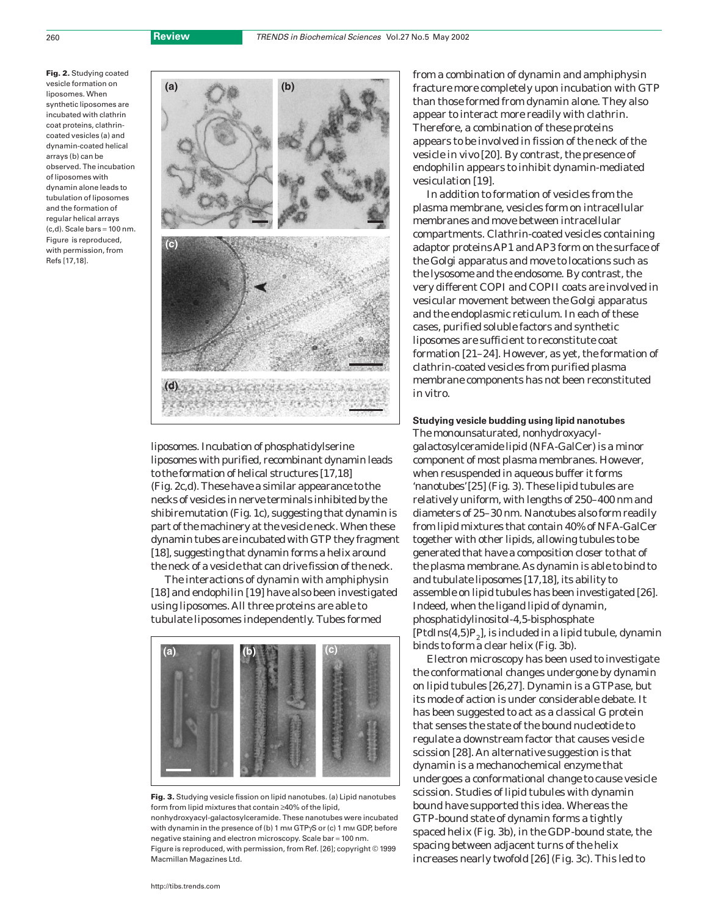**Fig. 2.** Studying coated vesicle formation on liposomes. When synthetic liposomes are incubated with clathrin coat proteins, clathrincoated vesicles (a) and dynamin-coated helical arrays (b) can be observed. The incubation of liposomes with dynamin alone leads to tubulation of liposomes and the formation of regular helical arrays  $(c,d)$ . Scale bars = 100 nm. Figure is reproduced, with permission, from Refs [17,18].



liposomes. Incubation of phosphatidylserine liposomes with purified, recombinant dynamin leads to the formation of helical structures [17,18] (Fig. 2c,d). These have a similar appearance to the necks of vesicles in nerve terminals inhibited by the *shibire* mutation (Fig. 1c), suggesting that dynamin is part of the machinery at the vesicle neck. When these dynamin tubes are incubated with GTP they fragment [18], suggesting that dynamin forms a helix around the neck of a vesicle that can drive fission of the neck.

The interactions of dynamin with amphiphysin [18] and endophilin [19] have also been investigated using liposomes. All three proteins are able to tubulate liposomes independently. Tubes formed



**Fig. 3.** Studying vesicle fission on lipid nanotubes. (a) Lipid nanotubes form from lipid mixtures that contain ≥40% of the lipid, nonhydroxyacyl-galactosylceramide. These nanotubes were incubated with dynamin in the presence of (b) 1 mm GTPγS or (c) 1 mm GDP, before negative staining and electron microscopy. Scale bar = 100 nm. Figure is reproduced, with permission, from Ref. [26]; copyright © 1999 Macmillan Magazines Ltd.

from a combination of dynamin and amphiphysin fracture more completely upon incubation with GTP than those formed from dynamin alone. They also appear to interact more readily with clathrin. Therefore, a combination of these proteins appears to be involved in fission of the neck of the vesicle *in vivo* [20]. By contrast, the presence of endophilin appears to inhibit dynamin-mediated vesiculation [19].

In addition to formation of vesicles from the plasma membrane, vesicles form on intracellular membranes and move between intracellular compartments. Clathrin-coated vesicles containing adaptor proteins AP1 and AP3 form on the surface of the Golgi apparatus and move to locations such as the lysosome and the endosome. By contrast, the very different COPI and COPII coats are involved in vesicular movement between the Golgi apparatus and the endoplasmic reticulum. In each of these cases, purified soluble factors and synthetic liposomes are sufficient to reconstitute coat formation [21–24]. However, as yet, the formation of clathrin-coated vesicles from purified plasma membrane components has not been reconstituted *in vitro*.

**Studying vesicle budding using lipid nanotubes** The monounsaturated, nonhydroxyacylgalactosylceramide lipid (NFA-GalCer) is a minor component of most plasma membranes. However, when resuspended in aqueous buffer it forms 'nanotubes'[25] (Fig. 3). These lipid tubules are relatively uniform, with lengths of 250–400 nm and diameters of 25–30 nm. Nanotubes also form readily from lipid mixtures that contain 40% of NFA-GalCer together with other lipids, allowing tubules to be generated that have a composition closer to that of the plasma membrane. As dynamin is able to bind to and tubulate liposomes [17,18], its ability to assemble on lipid tubules has been investigated [26]. Indeed, when the ligand lipid of dynamin, phosphatidylinositol-4,5-bisphosphate  $[PtdIns(4,5)P<sub>2</sub>]$ , is included in a lipid tubule, dynamin binds to form a clear helix (Fig. 3b).

Electron microscopy has been used to investigate the conformational changes undergone by dynamin on lipid tubules [26,27]. Dynamin is a GTPase, but its mode of action is under considerable debate. It has been suggested to act as a classical G protein that senses the state of the bound nucleotide to regulate a downstream factor that causes vesicle scission [28]. An alternative suggestion is that dynamin is a mechanochemical enzyme that undergoes a conformational change to cause vesicle scission. Studies of lipid tubules with dynamin bound have supported this idea. Whereas the GTP-bound state of dynamin forms a tightly spaced helix (Fig. 3b), in the GDP-bound state, the spacing between adjacent turns of the helix increases nearly twofold [26] (Fig. 3c). This led to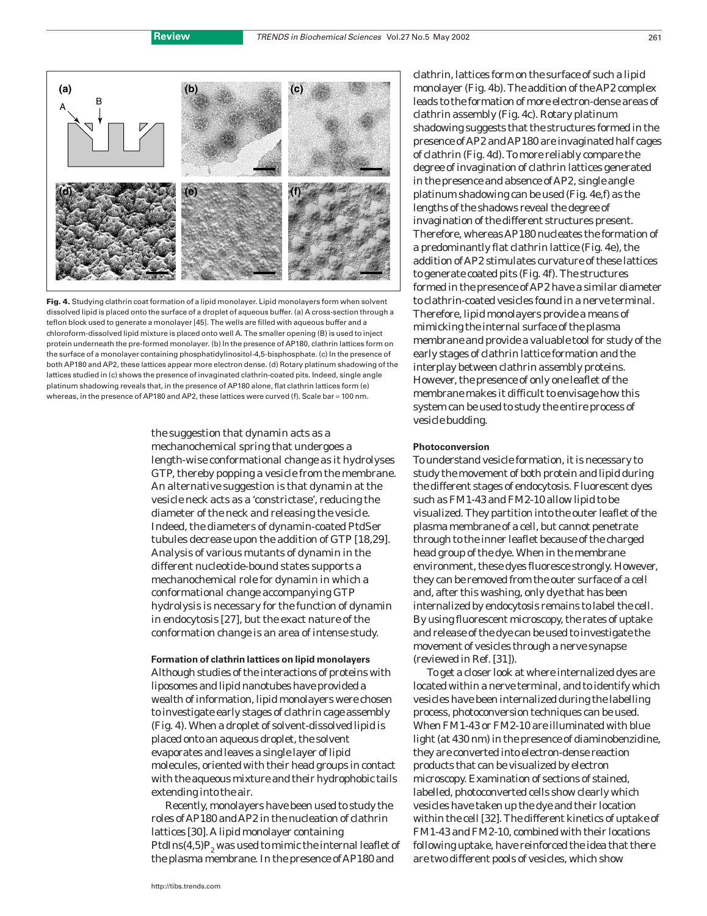

**Fig. 4.** Studying clathrin coat formation of a lipid monolayer. Lipid monolayers form when solvent dissolved lipid is placed onto the surface of a droplet of aqueous buffer. (a) A cross-section through a teflon block used to generate a monolayer [45]. The wells are filled with aqueous buffer and a chloroform-dissolved lipid mixture is placed onto well A. The smaller opening (B) is used to inject protein underneath the pre-formed monolayer. (b) In the presence of AP180, clathrin lattices form on the surface of a monolayer containing phosphatidylinositol-4,5-bisphosphate. (c) In the presence of both AP180 and AP2, these lattices appear more electron dense. (d) Rotary platinum shadowing of the lattices studied in (c) shows the presence of invaginated clathrin-coated pits. Indeed, single angle platinum shadowing reveals that, in the presence of AP180 alone, flat clathrin lattices form (e) whereas, in the presence of AP180 and AP2, these lattices were curved (f). Scale bar = 100 nm.

the suggestion that dynamin acts as a mechanochemical spring that undergoes a length-wise conformational change as it hydrolyses GTP, thereby popping a vesicle from the membrane. An alternative suggestion is that dynamin at the vesicle neck acts as a 'constrictase', reducing the diameter of the neck and releasing the vesicle. Indeed, the diameters of dynamin-coated PtdSer tubules decrease upon the addition of GTP [18,29]. Analysis of various mutants of dynamin in the different nucleotide-bound states supports a mechanochemical role for dynamin in which a conformational change accompanying GTP hydrolysis is necessary for the function of dynamin in endocytosis [27], but the exact nature of the conformation change is an area of intense study.

#### **Formation of clathrin lattices on lipid monolayers**

Although studies of the interactions of proteins with liposomes and lipid nanotubes have provided a wealth of information, lipid monolayers were chosen to investigate early stages of clathrin cage assembly (Fig. 4). When a droplet of solvent-dissolved lipid is placed onto an aqueous droplet, the solvent evaporates and leaves a single layer of lipid molecules, oriented with their head groups in contact with the aqueous mixture and their hydrophobic tails extending into the air.

Recently, monolayers have been used to study the roles of AP180 and AP2 in the nucleation of clathrin lattices [30]. A lipid monolayer containing PtdIns $(4,5)P<sub>2</sub>$  was used to mimic the internal leaflet of the plasma membrane. In the presence of AP180 and

clathrin, lattices form on the surface of such a lipid monolayer (Fig. 4b). The addition of the AP2 complex leads to the formation of more electron-dense areas of clathrin assembly (Fig. 4c). Rotary platinum shadowing suggests that the structures formed in the presence of AP2 and AP180 are invaginated half cages of clathrin (Fig. 4d). To more reliably compare the degree of invagination of clathrin lattices generated in the presence and absence of AP2, single angle platinum shadowing can be used (Fig. 4e,f) as the lengths of the shadows reveal the degree of invagination of the different structures present. Therefore, whereas AP180 nucleates the formation of a predominantly flat clathrin lattice (Fig. 4e), the addition of AP2 stimulates curvature of these lattices to generate coated pits (Fig. 4f). The structures formed in the presence of AP2 have a similar diameter to clathrin-coated vesicles found in a nerve terminal. Therefore, lipid monolayers provide a means of mimicking the internal surface of the plasma membrane and provide a valuable tool for study of the early stages of clathrin lattice formation and the interplay between clathrin assembly proteins. However, the presence of only one leaflet of the membrane makes it difficult to envisage how this system can be used to study the entire process of vesicle budding.

# **Photoconversion**

To understand vesicle formation, it is necessary to study the movement of both protein and lipid during the different stages of endocytosis. Fluorescent dyes such as FM1-43 and FM2-10 allow lipid to be visualized. They partition into the outer leaflet of the plasma membrane of a cell, but cannot penetrate through to the inner leaflet because of the charged head group of the dye. When in the membrane environment, these dyes fluoresce strongly. However, they can be removed from the outer surface of a cell and, after this washing, only dye that has been internalized by endocytosis remains to label the cell. By using fluorescent microscopy, the rates of uptake and release of the dye can be used to investigate the movement of vesicles through a nerve synapse (reviewed in Ref. [31]).

To get a closer look at where internalized dyes are located within a nerve terminal, and to identify which vesicles have been internalized during the labelling process, photoconversion techniques can be used. When FM1-43 or FM2-10 are illuminated with blue light (at 430 nm) in the presence of diaminobenzidine, they are converted into electron-dense reaction products that can be visualized by electron microscopy. Examination of sections of stained, labelled, photoconverted cells show clearly which vesicles have taken up the dye and their location within the cell [32]. The different kinetics of uptake of FM1-43 and FM2-10, combined with their locations following uptake, have reinforced the idea that there are two different pools of vesicles, which show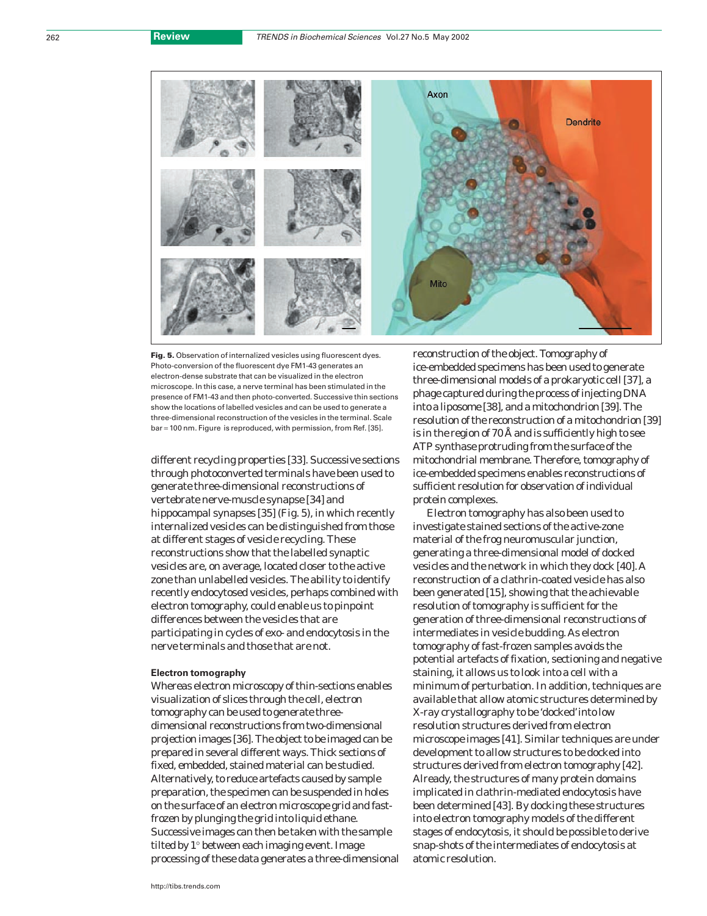

**Fig. 5.** Observation of internalized vesicles using fluorescent dyes. Photo-conversion of the fluorescent dye FM1-43 generates an electron-dense substrate that can be visualized in the electron microscope. In this case, a nerve terminal has been stimulated in the presence of FM1-43 and then photo-converted. Successive thin sections show the locations of labelled vesicles and can be used to generate a three-dimensional reconstruction of the vesicles in the terminal. Scale bar = 100 nm. Figure is reproduced, with permission, from Ref. [35].

different recycling properties [33]. Successive sections through photoconverted terminals have been used to generate three-dimensional reconstructions of vertebrate nerve-muscle synapse [34] and hippocampal synapses [35] (Fig. 5), in which recently internalized vesicles can be distinguished from those at different stages of vesicle recycling. These reconstructions show that the labelled synaptic vesicles are, on average, located closer to the active zone than unlabelled vesicles. The ability to identify recently endocytosed vesicles, perhaps combined with electron tomography, could enable us to pinpoint differences between the vesicles that are participating in cycles of exo- and endocytosis in the nerve terminals and those that are not.

# **Electron tomography**

Whereas electron microscopy of thin-sections enables visualization of slices through the cell, electron tomography can be used to generate threedimensional reconstructions from two-dimensional projection images [36]. The object to be imaged can be prepared in several different ways. Thick sections of fixed, embedded, stained material can be studied. Alternatively, to reduce artefacts caused by sample preparation, the specimen can be suspended in holes on the surface of an electron microscope grid and fastfrozen by plunging the grid into liquid ethane. Successive images can then be taken with the sample tilted by 1° between each imaging event. Image processing of these data generates a three-dimensional reconstruction of the object. Tomography of ice-embedded specimens has been used to generate three-dimensional models of a prokaryotic cell [37], a phage captured during the process of injecting DNA into a liposome [38], and a mitochondrion [39]. The resolution of the reconstruction of a mitochondrion [39] is in the region of 70 Å and is sufficiently high to see ATP synthase protruding from the surface of the mitochondrial membrane. Therefore, tomography of ice-embedded specimens enables reconstructions of sufficient resolution for observation of individual protein complexes.

Electron tomography has also been used to investigate stained sections of the active-zone material of the frog neuromuscular junction, generating a three-dimensional model of docked vesicles and the network in which they dock [40]. A reconstruction of a clathrin-coated vesicle has also been generated [15], showing that the achievable resolution of tomography is sufficient for the generation of three-dimensional reconstructions of intermediates in vesicle budding. As electron tomography of fast-frozen samples avoids the potential artefacts of fixation, sectioning and negative staining, it allows us to look into a cell with a minimum of perturbation. In addition, techniques are available that allow atomic structures determined by X-ray crystallography to be 'docked'into low resolution structures derived from electron microscope images [41]. Similar techniques are under development to allow structures to be docked into structures derived from electron tomography [42]. Already, the structures of many protein domains implicated in clathrin-mediated endocytosis have been determined [43]. By docking these structures into electron tomography models of the different stages of endocytosis, it should be possible to derive snap-shots of the intermediates of endocytosis at atomic resolution.